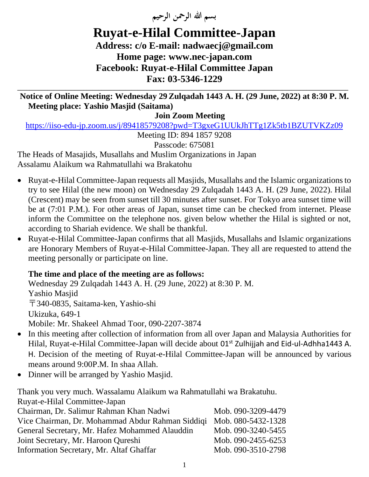**بسم هللا الرمحن الرحيم** 

## **Ruyat-e-Hilal Committee-Japan Address: c/o E-mail: nadwaecj@gmail.com Home page: [www.nec-japan.com](http://www.nec-japan.com/) [Facebook: Ruyat-e-Hilal Committee Japan](http://Facebook:%20www.facebook.com/rhcjapan/) Fax: 03-5346-1229**

**\_\_\_\_\_\_\_\_\_\_\_\_\_\_\_\_\_\_\_\_\_\_\_\_\_\_\_\_\_\_\_\_\_\_\_\_\_\_\_\_\_\_\_\_\_\_\_\_\_\_\_\_\_\_\_\_\_\_\_\_\_\_\_\_\_\_\_\_\_\_\_\_\_\_\_\_\_\_\_\_\_\_\_\_\_\_\_\_\_\_\_\_\_\_\_\_\_\_\_\_\_\_\_\_\_\_\_\_\_\_ Notice of Online Meeting: Wednesday 29Zulqadah 1443 A. H. (29 June, 2022) at 8:30 P. M. Meeting place: Yashio Masjid (Saitama)** 

**Join Zoom Meeting**

<https://iiso-edu-jp.zoom.us/j/89418579208?pwd=T3gxeG1UUkJhTTg1Zk5tb1BZUTVKZz09>

Meeting ID: 894 1857 9208

Passcode: 675081

The Heads of Masajids, Musallahs and Muslim Organizations in Japan Assalamu Alaikum wa Rahmatullahi wa Brakatohu

- Ruyat-e-Hilal Committee-Japan requests all Masjids, Musallahs and the Islamic organizations to try to see Hilal (the new moon) on Wednesday 29 Zulqadah 1443 A. H. (29 June, 2022). Hilal (Crescent) may be seen from sunset till 30 minutes after sunset. For Tokyo area sunset time will be at (7:01 P.M.). For other areas of Japan, sunset time can be checked from internet. Please inform the Committee on the telephone nos. given below whether the Hilal is sighted or not, according to Shariah evidence. We shall be thankful.
- Ruyat-e-Hilal Committee-Japan confirms that all Masjids, Musallahs and Islamic organizations are Honorary Members of Ruyat-e-Hilal Committee-Japan. They all are requested to attend the meeting personally or participate on line.

## **The time and place of the meeting are as follows:**

Wednesday 29 Zulqadah 1443 A. H. (29 June, 2022) at 8:30 P. M. Yashio Masjid 〒340-0835, Saitama-ken, Yashio-shi Ukizuka, 649-1 Mobile: Mr. Shakeel Ahmad Toor, 090-2207-3874

- In this meeting after collection of information from all over Japan and Malaysia Authorities for Hilal, Ruyat-e-Hilal Committee-Japan will decide about 01<sup>st</sup> Zulhijjah and Eid-ul-Adhha1443 A. H. Decision of the meeting of Ruyat-e-Hilal Committee-Japan will be announced by various means around 9:00P.M. In shaa Allah.
- Dinner will be arranged by Yashio Masjid.

Thank you very much. Wassalamu Alaikum wa Rahmatullahi wa Brakatuhu. Ruyat-e-Hilal Committee-Japan

| Rayat-C-THIM COMMITTEE - Japan                                      |                    |
|---------------------------------------------------------------------|--------------------|
| Chairman, Dr. Salimur Rahman Khan Nadwi                             | Mob. 090-3209-4479 |
| Vice Chairman, Dr. Mohammad Abdur Rahman Siddiqi Mob. 080-5432-1328 |                    |
| General Secretary, Mr. Hafez Mohammed Alauddin                      | Mob. 090-3240-5455 |
| Joint Secretary, Mr. Haroon Qureshi                                 | Mob. 090-2455-6253 |
| Information Secretary, Mr. Altaf Ghaffar                            | Mob. 090-3510-2798 |
|                                                                     |                    |